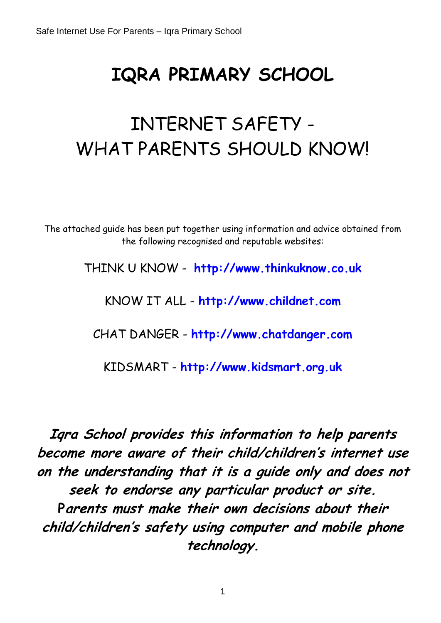# **IQRA PRIMARY SCHOOL**

# INTERNET SAFETY - WHAT PARENTS SHOULD KNOW!

The attached guide has been put together using information and advice obtained from the following recognised and reputable websites:

THINK U KNOW - **[http://www.thinkuknow.co.uk](http://www.thinkuknow.co.uk/)**

KNOW IT ALL - **[http://www.childnet.com](http://www.childnet.com/)**

CHAT DANGER - **[http://www.chatdanger.com](http://www.chatdanger.com/)**

KIDSMART - **[http://www.kidsmart.org.uk](http://www.kidsmart.org.uk/)**

**Iqra School provides this information to help parents become more aware of their child/children's internet use on the understanding that it is a guide only and does not seek to endorse any particular product or site. Parents must make their own decisions about their child/children's safety using computer and mobile phone technology.**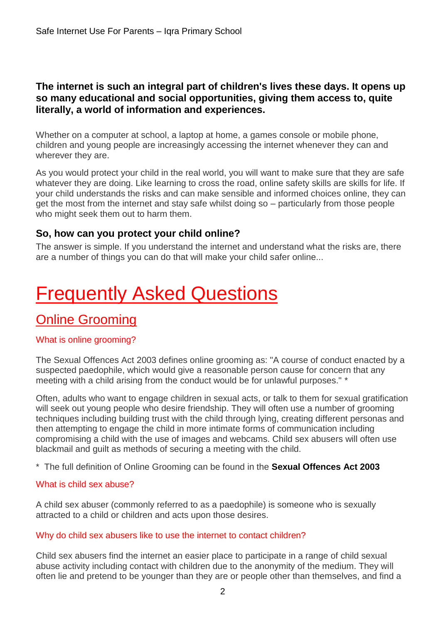#### **The internet is such an integral part of children's lives these days. It opens up so many educational and social opportunities, giving them access to, quite literally, a world of information and experiences.**

Whether on a computer at school, a laptop at home, a games console or mobile phone, children and young people are increasingly accessing the internet whenever they can and wherever they are.

As you would protect your child in the real world, you will want to make sure that they are safe whatever they are doing. Like learning to cross the road, online safety skills are skills for life. If your child understands the risks and can make sensible and informed choices online, they can get the most from the internet and stay safe whilst doing so – particularly from those people who might seek them out to harm them.

#### **So, how can you protect your child online?**

The answer is simple. If you understand the internet and understand what the risks are, there are a number of things you can do that will make your child safer online...

# **Frequently Asked Questions**

### Online Grooming

#### What is online grooming?

The Sexual Offences Act 2003 defines online grooming as: "A course of conduct enacted by a suspected paedophile, which would give a reasonable person cause for concern that any meeting with a child arising from the conduct would be for unlawful purposes." \*

Often, adults who want to engage children in sexual acts, or talk to them for sexual gratification will seek out young people who desire friendship. They will often use a number of grooming techniques including building trust with the child through lying, creating different personas and then attempting to engage the child in more intimate forms of communication including compromising a child with the use of images and webcams. Child sex abusers will often use blackmail and guilt as methods of securing a meeting with the child.

\* The full definition of Online Grooming can be found in the **[Sexual Offences Act 2003](http://www.opsi.gov.uk/ACTS/acts2003/20030042.htm)**

#### What is child sex abuse?

A child sex abuser (commonly referred to as a paedophile) is someone who is sexually attracted to a child or children and acts upon those desires.

#### Why do child sex abusers like to use the internet to contact children?

Child sex abusers find the internet an easier place to participate in a range of child sexual abuse activity including contact with children due to the anonymity of the medium. They will often lie and pretend to be younger than they are or people other than themselves, and find a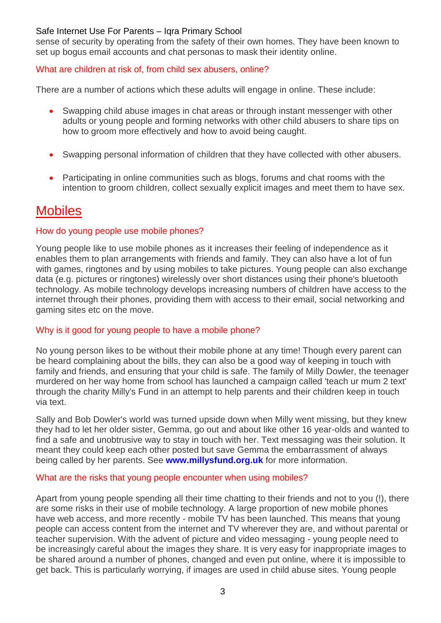sense of security by operating from the safety of their own homes. They have been known to set up bogus email accounts and chat personas to mask their identity online.

#### What are children at risk of, from child sex abusers, online?

There are a number of actions which these adults will engage in online. These include:

- Swapping child abuse images in chat areas or through instant messenger with other adults or young people and forming networks with other child abusers to share tips on how to groom more effectively and how to avoid being caught.
- Swapping personal information of children that they have collected with other abusers.
- Participating in online communities such as blogs, forums and chat rooms with the intention to groom children, collect sexually explicit images and meet them to have sex.

### **Mobiles**

#### How do young people use mobile phones?

Young people like to use mobile phones as it increases their feeling of independence as it enables them to plan arrangements with friends and family. They can also have a lot of fun with games, ringtones and by using mobiles to take pictures. Young people can also exchange data (e.g. pictures or ringtones) wirelessly over short distances using their phone's bluetooth technology. As mobile technology develops increasing numbers of children have access to the internet through their phones, providing them with access to their email, social networking and gaming sites etc on the move.

#### Why is it good for young people to have a mobile phone?

No young person likes to be without their mobile phone at any time! Though every parent can be heard complaining about the bills, they can also be a good way of keeping in touch with family and friends, and ensuring that your child is safe. The family of Milly Dowler, the teenager murdered on her way home from school has launched a campaign called 'teach ur mum 2 text' through the charity Milly's Fund in an attempt to help parents and their children keep in touch via text.

Sally and Bob Dowler's world was turned upside down when Milly went missing, but they knew they had to let her older sister, Gemma, go out and about like other 16 year-olds and wanted to find a safe and unobtrusive way to stay in touch with her. Text messaging was their solution. It meant they could keep each other posted but save Gemma the embarrassment of always being called by her parents. See **[www.millysfund.org.uk](http://www.millysfund.org.uk/)** for more information.

#### What are the risks that young people encounter when using mobiles?

Apart from young people spending all their time chatting to their friends and not to you (!), there are some risks in their use of mobile technology. A large proportion of new mobile phones have web access, and more recently - mobile TV has been launched. This means that young people can access content from the internet and TV wherever they are, and without parental or teacher supervision. With the advent of picture and video messaging - young people need to be increasingly careful about the images they share. It is very easy for inappropriate images to be shared around a number of phones, changed and even put online, where it is impossible to get back. This is particularly worrying, if images are used in child abuse sites. Young people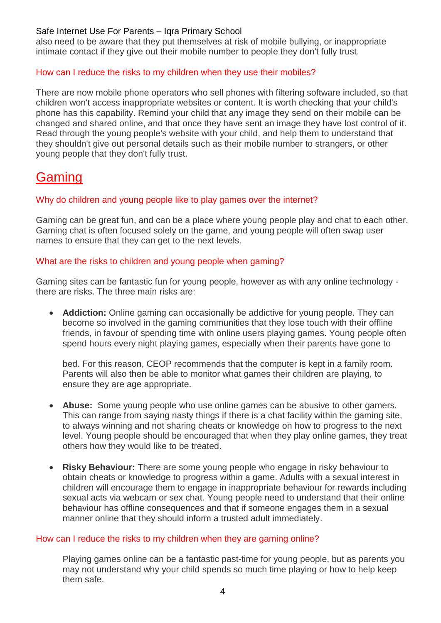also need to be aware that they put themselves at risk of mobile bullying, or inappropriate intimate contact if they give out their mobile number to people they don't fully trust.

#### How can I reduce the risks to my children when they use their mobiles?

There are now mobile phone operators who sell phones with filtering software included, so that children won't access inappropriate websites or content. It is worth checking that your child's phone has this capability. Remind your child that any image they send on their mobile can be changed and shared online, and that once they have sent an image they have lost control of it. Read through the young people's website with your child, and help them to understand that they shouldn't give out personal details such as their mobile number to strangers, or other young people that they don't fully trust.

### Gaming

#### Why do children and young people like to play games over the internet?

Gaming can be great fun, and can be a place where young people play and chat to each other. Gaming chat is often focused solely on the game, and young people will often swap user names to ensure that they can get to the next levels.

#### What are the risks to children and young people when gaming?

Gaming sites can be fantastic fun for young people, however as with any online technology there are risks. The three main risks are:

 **Addiction:** Online gaming can occasionally be addictive for young people. They can become so involved in the gaming communities that they lose touch with their offline friends, in favour of spending time with online users playing games. Young people often spend hours every night playing games, especially when their parents have gone to

bed. For this reason, CEOP recommends that the computer is kept in a family room. Parents will also then be able to monitor what games their children are playing, to ensure they are age appropriate.

- **Abuse:** Some young people who use online games can be abusive to other gamers. This can range from saying nasty things if there is a chat facility within the gaming site, to always winning and not sharing cheats or knowledge on how to progress to the next level. Young people should be encouraged that when they play online games, they treat others how they would like to be treated.
- **Risky Behaviour:** There are some young people who engage in risky behaviour to obtain cheats or knowledge to progress within a game. Adults with a sexual interest in children will encourage them to engage in inappropriate behaviour for rewards including sexual acts via webcam or sex chat. Young people need to understand that their online behaviour has offline consequences and that if someone engages them in a sexual manner online that they should inform a trusted adult immediately.

#### How can I reduce the risks to my children when they are gaming online?

Playing games online can be a fantastic past-time for young people, but as parents you may not understand why your child spends so much time playing or how to help keep them safe.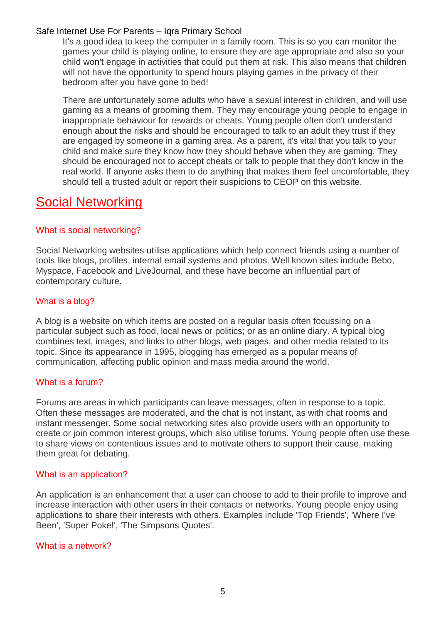It's a good idea to keep the computer in a family room. This is so you can monitor the games your child is playing online, to ensure they are age appropriate and also so your child won't engage in activities that could put them at risk. This also means that children will not have the opportunity to spend hours playing games in the privacy of their bedroom after you have gone to bed!

There are unfortunately some adults who have a sexual interest in children, and will use gaming as a means of grooming them. They may encourage young people to engage in inappropriate behaviour for rewards or cheats. Young people often don't understand enough about the risks and should be encouraged to talk to an adult they trust if they are engaged by someone in a gaming area. As a parent, it's vital that you talk to your child and make sure they know how they should behave when they are gaming. They should be encouraged not to accept cheats or talk to people that they don't know in the real world. If anyone asks them to do anything that makes them feel uncomfortable, they should tell a trusted adult or report their suspicions to CEOP on this website.

### Social Networking

#### What is social networking?

Social Networking websites utilise applications which help connect friends using a number of tools like blogs, profiles, internal email systems and photos. Well known sites include Bebo, Myspace, Facebook and LiveJournal, and these have become an influential part of contemporary culture.

#### What is a blog?

A blog is a website on which items are posted on a regular basis often focussing on a particular subject such as food, local news or politics; or as an online diary. A typical blog combines text, images, and links to other blogs, web pages, and other media related to its topic. Since its appearance in 1995, blogging has emerged as a popular means of communication, affecting public opinion and mass media around the world.

#### What is a forum?

Forums are areas in which participants can leave messages, often in response to a topic. Often these messages are moderated, and the chat is not instant, as with chat rooms and instant messenger. Some social networking sites also provide users with an opportunity to create or join common interest groups, which also utilise forums. Young people often use these to share views on contentious issues and to motivate others to support their cause, making them great for debating.

#### What is an application?

An application is an enhancement that a user can choose to add to their profile to improve and increase interaction with other users in their contacts or networks. Young people enjoy using applications to share their interests with others. Examples include 'Top Friends', 'Where I've Been', 'Super Poke!', 'The Simpsons Quotes'.

#### What is a network?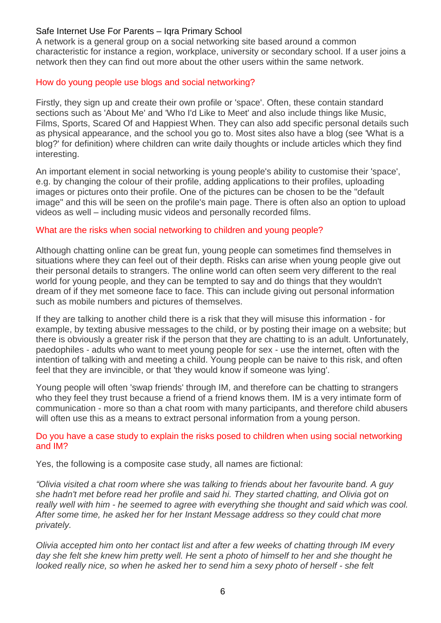A network is a general group on a social networking site based around a common characteristic for instance a region, workplace, university or secondary school. If a user joins a network then they can find out more about the other users within the same network.

#### How do young people use blogs and social networking?

Firstly, they sign up and create their own profile or 'space'. Often, these contain standard sections such as 'About Me' and 'Who I'd Like to Meet' and also include things like Music, Films, Sports, Scared Of and Happiest When. They can also add specific personal details such as physical appearance, and the school you go to. Most sites also have a blog (see 'What is a blog?' for definition) where children can write daily thoughts or include articles which they find interesting.

An important element in social networking is young people's ability to customise their 'space', e.g. by changing the colour of their profile, adding applications to their profiles, uploading images or pictures onto their profile. One of the pictures can be chosen to be the "default image" and this will be seen on the profile's main page. There is often also an option to upload videos as well – including music videos and personally recorded films.

#### What are the risks when social networking to children and young people?

Although chatting online can be great fun, young people can sometimes find themselves in situations where they can feel out of their depth. Risks can arise when young people give out their personal details to strangers. The online world can often seem very different to the real world for young people, and they can be tempted to say and do things that they wouldn't dream of if they met someone face to face. This can include giving out personal information such as mobile numbers and pictures of themselves.

If they are talking to another child there is a risk that they will misuse this information - for example, by texting abusive messages to the child, or by posting their image on a website; but there is obviously a greater risk if the person that they are chatting to is an adult. Unfortunately, paedophiles - adults who want to meet young people for sex - use the internet, often with the intention of talking with and meeting a child. Young people can be naive to this risk, and often feel that they are invincible, or that 'they would know if someone was lying'.

Young people will often 'swap friends' through IM, and therefore can be chatting to strangers who they feel they trust because a friend of a friend knows them. IM is a very intimate form of communication - more so than a chat room with many participants, and therefore child abusers will often use this as a means to extract personal information from a young person.

#### Do you have a case study to explain the risks posed to children when using social networking and IM?

Yes, the following is a composite case study, all names are fictional:

*"Olivia visited a chat room where she was talking to friends about her favourite band. A guy she hadn't met before read her profile and said hi. They started chatting, and Olivia got on really well with him - he seemed to agree with everything she thought and said which was cool. After some time, he asked her for her Instant Message address so they could chat more privately.*

*Olivia accepted him onto her contact list and after a few weeks of chatting through IM every day she felt she knew him pretty well. He sent a photo of himself to her and she thought he looked really nice, so when he asked her to send him a sexy photo of herself - she felt*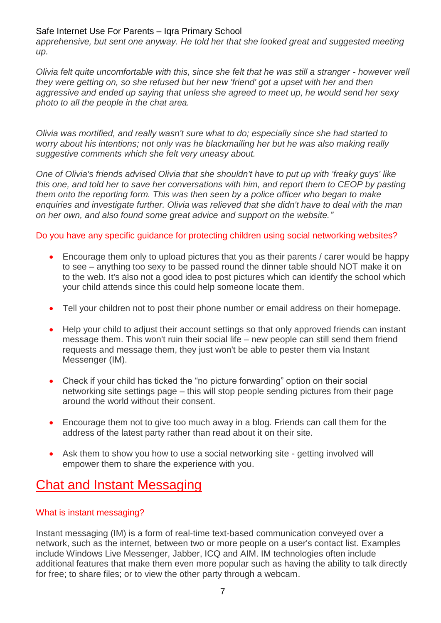*apprehensive, but sent one anyway. He told her that she looked great and suggested meeting up.*

*Olivia felt quite uncomfortable with this, since she felt that he was still a stranger - however well they were getting on, so she refused but her new 'friend' got a upset with her and then aggressive and ended up saying that unless she agreed to meet up, he would send her sexy photo to all the people in the chat area.*

*Olivia was mortified, and really wasn't sure what to do; especially since she had started to worry about his intentions; not only was he blackmailing her but he was also making really suggestive comments which she felt very uneasy about.*

*One of Olivia's friends advised Olivia that she shouldn't have to put up with 'freaky guys' like this one, and told her to save her conversations with him, and report them to CEOP by pasting them onto the reporting form. This was then seen by a police officer who began to make enquiries and investigate further. Olivia was relieved that she didn't have to deal with the man on her own, and also found some great advice and support on the website."*

#### Do you have any specific guidance for protecting children using social networking websites?

- Encourage them only to upload pictures that you as their parents / carer would be happy to see – anything too sexy to be passed round the dinner table should NOT make it on to the web. It's also not a good idea to post pictures which can identify the school which your child attends since this could help someone locate them.
- Tell your children not to post their phone number or email address on their homepage.
- Help your child to adjust their account settings so that only approved friends can instant message them. This won't ruin their social life – new people can still send them friend requests and message them, they just won't be able to pester them via Instant Messenger (IM).
- Check if your child has ticked the "no picture forwarding" option on their social networking site settings page – this will stop people sending pictures from their page around the world without their consent.
- Encourage them not to give too much away in a blog. Friends can call them for the address of the latest party rather than read about it on their site.
- Ask them to show you how to use a social networking site getting involved will empower them to share the experience with you.

### Chat and Instant Messaging

#### What is instant messaging?

Instant messaging (IM) is a form of real-time text-based communication conveyed over a network, such as the internet, between two or more people on a user's contact list. Examples include Windows Live Messenger, Jabber, ICQ and AIM. IM technologies often include additional features that make them even more popular such as having the ability to talk directly for free; to share files; or to view the other party through a webcam.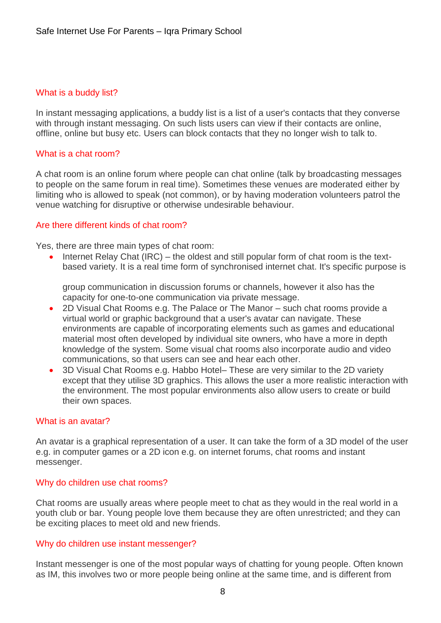#### What is a buddy list?

In instant messaging applications, a buddy list is a list of a user's contacts that they converse with through instant messaging. On such lists users can view if their contacts are online, offline, online but busy etc. Users can block contacts that they no longer wish to talk to.

#### What is a chat room?

A chat room is an online forum where people can chat online (talk by broadcasting messages to people on the same forum in real time). Sometimes these venues are moderated either by limiting who is allowed to speak (not common), or by having moderation volunteers patrol the venue watching for disruptive or otherwise undesirable behaviour.

#### Are there different kinds of chat room?

Yes, there are three main types of chat room:

 Internet Relay Chat (IRC) – the oldest and still popular form of chat room is the textbased variety. It is a real time form of synchronised internet chat. It's specific purpose is

group communication in discussion forums or channels, however it also has the capacity for one-to-one communication via private message.

- 2D Visual Chat Rooms e.g. The Palace or The Manor such chat rooms provide a virtual world or graphic background that a user's avatar can navigate. These environments are capable of incorporating elements such as games and educational material most often developed by individual site owners, who have a more in depth knowledge of the system. Some visual chat rooms also incorporate audio and video communications, so that users can see and hear each other.
- 3D Visual Chat Rooms e.g. Habbo Hotel– These are very similar to the 2D variety except that they utilise 3D graphics. This allows the user a more realistic interaction with the environment. The most popular environments also allow users to create or build their own spaces.

#### What is an avatar?

An avatar is a graphical representation of a user. It can take the form of a 3D model of the user e.g. in computer games or a 2D icon e.g. on internet forums, chat rooms and instant messenger.

#### Why do children use chat rooms?

Chat rooms are usually areas where people meet to chat as they would in the real world in a youth club or bar. Young people love them because they are often unrestricted; and they can be exciting places to meet old and new friends.

#### Why do children use instant messenger?

Instant messenger is one of the most popular ways of chatting for young people. Often known as IM, this involves two or more people being online at the same time, and is different from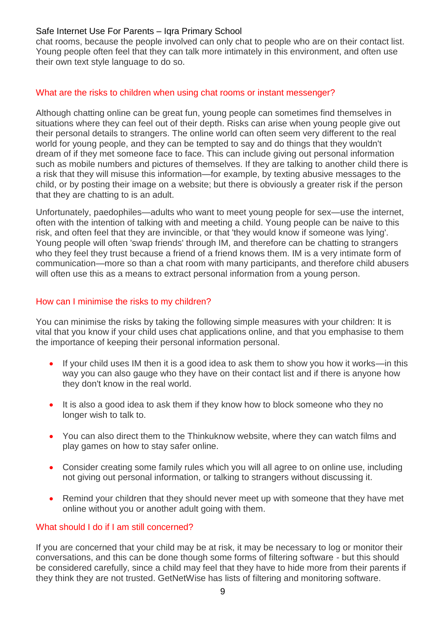chat rooms, because the people involved can only chat to people who are on their contact list. Young people often feel that they can talk more intimately in this environment, and often use their own text style language to do so.

#### What are the risks to children when using chat rooms or instant messenger?

Although chatting online can be great fun, young people can sometimes find themselves in situations where they can feel out of their depth. Risks can arise when young people give out their personal details to strangers. The online world can often seem very different to the real world for young people, and they can be tempted to say and do things that they wouldn't dream of if they met someone face to face. This can include giving out personal information such as mobile numbers and pictures of themselves. If they are talking to another child there is a risk that they will misuse this information—for example, by texting abusive messages to the child, or by posting their image on a website; but there is obviously a greater risk if the person that they are chatting to is an adult.

Unfortunately, paedophiles—adults who want to meet young people for sex—use the internet, often with the intention of talking with and meeting a child. Young people can be naive to this risk, and often feel that they are invincible, or that 'they would know if someone was lying'. Young people will often 'swap friends' through IM, and therefore can be chatting to strangers who they feel they trust because a friend of a friend knows them. IM is a very intimate form of communication—more so than a chat room with many participants, and therefore child abusers will often use this as a means to extract personal information from a young person.

#### How can I minimise the risks to my children?

You can minimise the risks by taking the following simple measures with your children: It is vital that you know if your child uses chat applications online, and that you emphasise to them the importance of keeping their personal information personal.

- If your child uses IM then it is a good idea to ask them to show you how it works—in this way you can also gauge who they have on their contact list and if there is anyone how they don't know in the real world.
- It is also a good idea to ask them if they know how to block someone who they no longer wish to talk to.
- You can also direct them to the Thinkuknow website, where they can watch films and play games on how to stay safer online.
- Consider creating some family rules which you will all agree to on online use, including not giving out personal information, or talking to strangers without discussing it.
- Remind your children that they should never meet up with someone that they have met online without you or another adult going with them.

#### What should I do if I am still concerned?

If you are concerned that your child may be at risk, it may be necessary to log or monitor their conversations, and this can be done though some forms of filtering software - but this should be considered carefully, since a child may feel that they have to hide more from their parents if they think they are not trusted. GetNetWise has lists of filtering and monitoring software.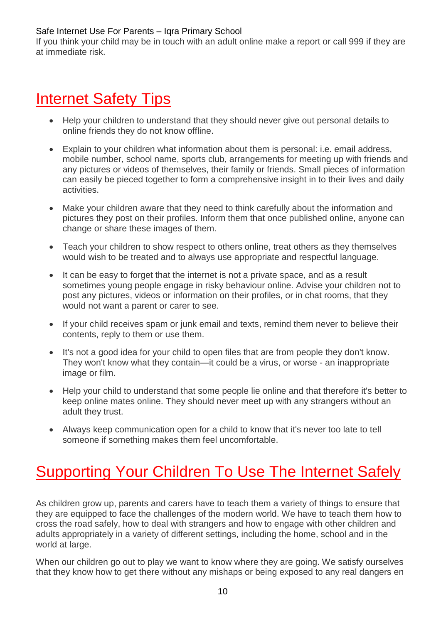If you think your child may be in touch with an adult online make a report or call 999 if they are at immediate risk.

## Internet Safety Tips

- Help your children to understand that they should never give out personal details to online friends they do not know offline.
- Explain to your children what information about them is personal: i.e. email address, mobile number, school name, sports club, arrangements for meeting up with friends and any pictures or videos of themselves, their family or friends. Small pieces of information can easily be pieced together to form a comprehensive insight in to their lives and daily activities.
- Make your children aware that they need to think carefully about the information and pictures they post on their profiles. Inform them that once published online, anyone can change or share these images of them.
- Teach your children to show respect to others online, treat others as they themselves would wish to be treated and to always use appropriate and respectful language.
- It can be easy to forget that the internet is not a private space, and as a result sometimes young people engage in risky behaviour online. Advise your children not to post any pictures, videos or information on their profiles, or in chat rooms, that they would not want a parent or carer to see.
- If your child receives spam or junk email and texts, remind them never to believe their contents, reply to them or use them.
- It's not a good idea for your child to open files that are from people they don't know. They won't know what they contain—it could be a virus, or worse - an inappropriate image or film.
- Help your child to understand that some people lie online and that therefore it's better to keep online mates online. They should never meet up with any strangers without an adult they trust.
- Always keep communication open for a child to know that it's never too late to tell someone if something makes them feel uncomfortable.

## Supporting Your Children To Use The Internet Safely

As children grow up, parents and carers have to teach them a variety of things to ensure that they are equipped to face the challenges of the modern world. We have to teach them how to cross the road safely, how to deal with strangers and how to engage with other children and adults appropriately in a variety of different settings, including the home, school and in the world at large.

When our children go out to play we want to know where they are going. We satisfy ourselves that they know how to get there without any mishaps or being exposed to any real dangers en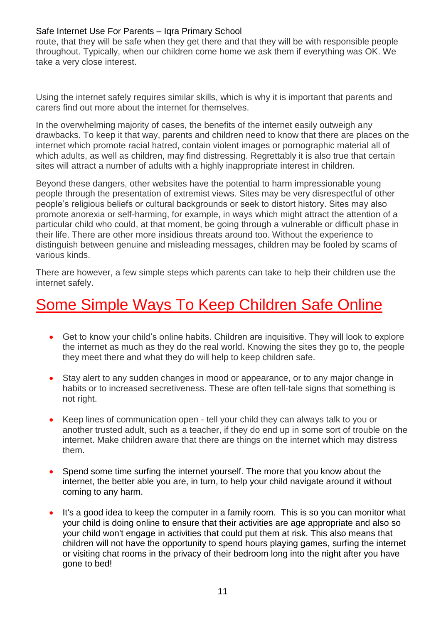route, that they will be safe when they get there and that they will be with responsible people throughout. Typically, when our children come home we ask them if everything was OK. We take a very close interest.

Using the internet safely requires similar skills, which is why it is important that parents and carers find out more about the internet for themselves.

In the overwhelming majority of cases, the benefits of the internet easily outweigh any drawbacks. To keep it that way, parents and children need to know that there are places on the internet which promote racial hatred, contain violent images or pornographic material all of which adults, as well as children, may find distressing. Regrettably it is also true that certain sites will attract a number of adults with a highly inappropriate interest in children.

Beyond these dangers, other websites have the potential to harm impressionable young people through the presentation of extremist views. Sites may be very disrespectful of other people's religious beliefs or cultural backgrounds or seek to distort history. Sites may also promote anorexia or self-harming, for example, in ways which might attract the attention of a particular child who could, at that moment, be going through a vulnerable or difficult phase in their life. There are other more insidious threats around too. Without the experience to distinguish between genuine and misleading messages, children may be fooled by scams of various kinds.

There are however, a few simple steps which parents can take to help their children use the internet safely.

### Some Simple Ways To Keep Children Safe Online

- Get to know your child's online habits. Children are inquisitive. They will look to explore the internet as much as they do the real world. Knowing the sites they go to, the people they meet there and what they do will help to keep children safe.
- Stay alert to any sudden changes in mood or appearance, or to any major change in habits or to increased secretiveness. These are often tell-tale signs that something is not right.
- Keep lines of communication open tell your child they can always talk to you or another trusted adult, such as a teacher, if they do end up in some sort of trouble on the internet. Make children aware that there are things on the internet which may distress them.
- Spend some time surfing the internet yourself. The more that you know about the internet, the better able you are, in turn, to help your child navigate around it without coming to any harm.
- It's a good idea to keep the computer in a family room. This is so you can monitor what your child is doing online to ensure that their activities are age appropriate and also so your child won't engage in activities that could put them at risk. This also means that children will not have the opportunity to spend hours playing games, surfing the internet or visiting chat rooms in the privacy of their bedroom long into the night after you have gone to bed!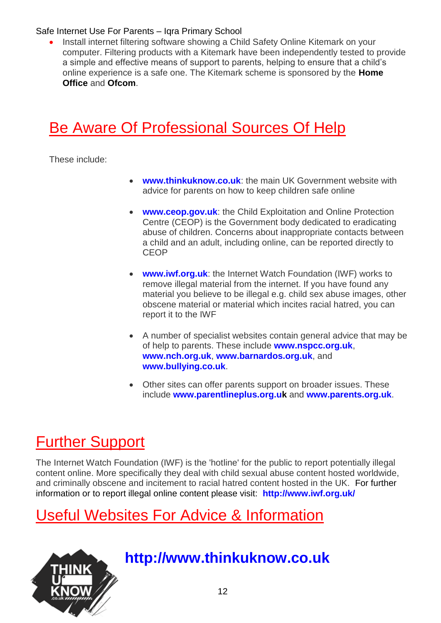Install internet filtering software showing a Child Safety Online Kitemark on your computer. Filtering products with a Kitemark have been independently tested to provide a simple and effective means of support to parents, helping to ensure that a child's online experience is a safe one. The Kitemark scheme is sponsored by the **[Home](http://www.homeoffice.gov.uk/)  [Office](http://www.homeoffice.gov.uk/)** and **[Ofcom](http://www.ofcom.org.uk/)**.

## Be Aware Of Professional Sources Of Help

These include:

- **[www.thinkuknow.co.uk](http://www.thinkuknow.co.uk/)**: the main UK Government website with advice for parents on how to keep children safe online
- **[www.ceop.gov.uk](http://www.ceop.gov.uk/)**: the Child Exploitation and Online Protection Centre (CEOP) is the Government body dedicated to eradicating abuse of children. Concerns about inappropriate contacts between a child and an adult, including online, can be reported directly to **CEOP**
- **[www.iwf.org.uk](http://www.iwf.org.uk/)**: the Internet Watch Foundation (IWF) works to remove illegal material from the internet. If you have found any material you believe to be illegal e.g. child sex abuse images, other obscene material or material which incites racial hatred, you can report it to the IWF
- A number of specialist websites contain general advice that may be of help to parents. These include **[www.nspcc.org.uk](http://www.nspcc.org.uk/)**, **[www.nch.org.uk](http://www.nch.org.uk/)**, **[www.barnardos.org.uk](http://www.barnardos.org.uk/)**, and **[www.bullying.co.uk](http://www.bullying.co.uk/)**.
- Other sites can offer parents support on broader issues. These include **[www.parentlineplus.org.uk](http://www.parentlineplus.org.uk/)** and **[www.parents.org.uk](http://www.parents.org.uk/)**.

## Further Support

The Internet Watch Foundation (IWF) is the 'hotline' for the public to report potentially illegal content online. More specifically they deal with child sexual abuse content hosted worldwide, and criminally obscene and incitement to racial hatred content hosted in the UK. For further information or to report illegal online content please visit: **<http://www.iwf.org.uk/>**

## Useful Websites For Advice & Information



### **http://www.thinkuknow.co.uk**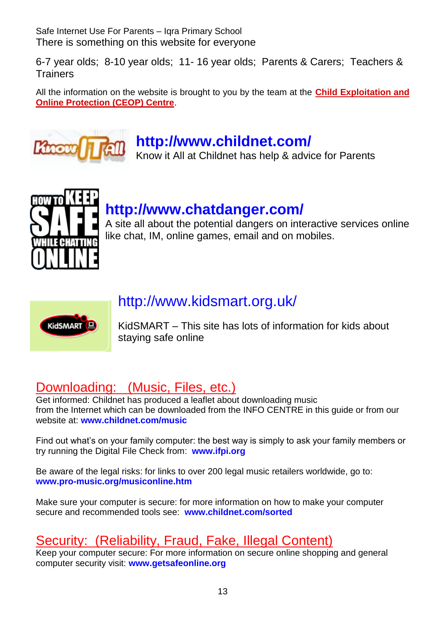Safe Internet Use For Parents – Iqra Primary School There is something on this website for everyone

6-7 year olds; 8-10 year olds; 11- 16 year olds; Parents & Carers; Teachers & **Trainers** 

All the information on the website is brought to you by the team at the **[Child Exploitation and](http://www.ceop.gov.uk/)  [Online Protection \(CEOP\) Centre](http://www.ceop.gov.uk/)**.



### **<http://www.childnet.com/>**

Know it All at Childnet has help & advice for Parents



## **<http://www.chatdanger.com/>**

A site all about the potential dangers on interactive services online like chat, IM, online games, email and on mobiles.



### <http://www.kidsmart.org.uk/>

KidSMART – This site has lots of information for kids about staying safe online

### Downloading: (Music, Files, etc.)

Get informed: Childnet has produced a leaflet about downloading music from the Internet which can be downloaded from the INFO CENTRE in this guide or from our website at: **[www.childnet.com/music](http://www.childnet.com/music)**

Find out what's on your family computer: the best way is simply to ask your family members or try running the Digital File Check from: **[www.ifpi.org](http://www.ifpi.org/)**

Be aware of the legal risks: for links to over 200 legal music retailers worldwide, go to: **[www.pro-music.org/musiconline.htm](http://www.pro-music.org/musiconline.htm)**

Make sure your computer is secure: for more information on how to make your computer secure and recommended tools see: **[www.childnet.com/sorted](http://www.childnet.com/sorted)**

### Security: (Reliability, Fraud, Fake, Illegal Content)

Keep your computer secure: For more information on secure online shopping and general computer security visit: **[www.getsafeonline.org](http://www.getsafeonline.org/)**